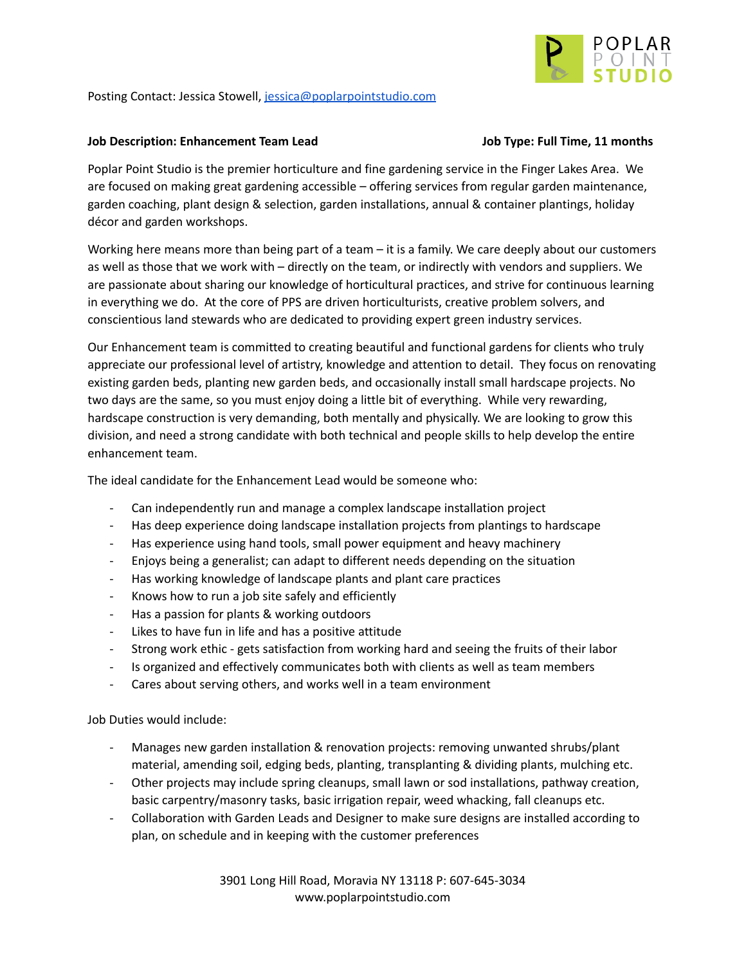

Posting Contact: Jessica Stowell, [jessica@poplarpointstudio.com](mailto:jessica@poplarpointstudio.com)

## **Job Description: Enhancement Team Lead Job Type: Full Time, 11 months**

Poplar Point Studio is the premier horticulture and fine gardening service in the Finger Lakes Area. We are focused on making great gardening accessible – offering services from regular garden maintenance, garden coaching, plant design & selection, garden installations, annual & container plantings, holiday décor and garden workshops.

Working here means more than being part of a team – it is a family. We care deeply about our customers as well as those that we work with – directly on the team, or indirectly with vendors and suppliers. We are passionate about sharing our knowledge of horticultural practices, and strive for continuous learning in everything we do. At the core of PPS are driven horticulturists, creative problem solvers, and conscientious land stewards who are dedicated to providing expert green industry services.

Our Enhancement team is committed to creating beautiful and functional gardens for clients who truly appreciate our professional level of artistry, knowledge and attention to detail. They focus on renovating existing garden beds, planting new garden beds, and occasionally install small hardscape projects. No two days are the same, so you must enjoy doing a little bit of everything. While very rewarding, hardscape construction is very demanding, both mentally and physically. We are looking to grow this division, and need a strong candidate with both technical and people skills to help develop the entire enhancement team.

The ideal candidate for the Enhancement Lead would be someone who:

- Can independently run and manage a complex landscape installation project
- Has deep experience doing landscape installation projects from plantings to hardscape
- Has experience using hand tools, small power equipment and heavy machinery
- Enjoys being a generalist; can adapt to different needs depending on the situation
- Has working knowledge of landscape plants and plant care practices
- Knows how to run a job site safely and efficiently
- Has a passion for plants & working outdoors
- Likes to have fun in life and has a positive attitude
- Strong work ethic gets satisfaction from working hard and seeing the fruits of their labor
- Is organized and effectively communicates both with clients as well as team members
- Cares about serving others, and works well in a team environment

Job Duties would include:

- Manages new garden installation & renovation projects: removing unwanted shrubs/plant material, amending soil, edging beds, planting, transplanting & dividing plants, mulching etc.
- Other projects may include spring cleanups, small lawn or sod installations, pathway creation, basic carpentry/masonry tasks, basic irrigation repair, weed whacking, fall cleanups etc.
- Collaboration with Garden Leads and Designer to make sure designs are installed according to plan, on schedule and in keeping with the customer preferences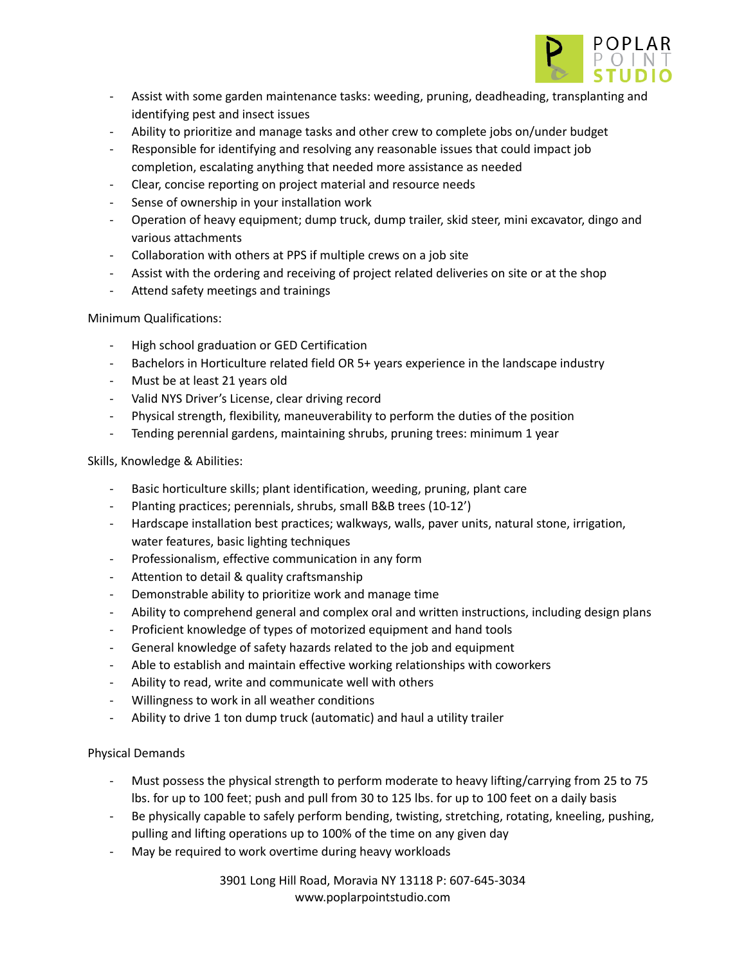

- Assist with some garden maintenance tasks: weeding, pruning, deadheading, transplanting and identifying pest and insect issues
- Ability to prioritize and manage tasks and other crew to complete jobs on/under budget
- Responsible for identifying and resolving any reasonable issues that could impact job completion, escalating anything that needed more assistance as needed
- Clear, concise reporting on project material and resource needs
- Sense of ownership in your installation work
- Operation of heavy equipment; dump truck, dump trailer, skid steer, mini excavator, dingo and various attachments
- Collaboration with others at PPS if multiple crews on a job site
- Assist with the ordering and receiving of project related deliveries on site or at the shop
- Attend safety meetings and trainings

# Minimum Qualifications:

- High school graduation or GED Certification
- Bachelors in Horticulture related field OR 5+ years experience in the landscape industry
- Must be at least 21 years old
- Valid NYS Driver's License, clear driving record
- Physical strength, flexibility, maneuverability to perform the duties of the position
- Tending perennial gardens, maintaining shrubs, pruning trees: minimum 1 year

## Skills, Knowledge & Abilities:

- Basic horticulture skills; plant identification, weeding, pruning, plant care
- Planting practices; perennials, shrubs, small B&B trees (10-12')
- Hardscape installation best practices; walkways, walls, paver units, natural stone, irrigation, water features, basic lighting techniques
- Professionalism, effective communication in any form
- Attention to detail & quality craftsmanship
- Demonstrable ability to prioritize work and manage time
- Ability to comprehend general and complex oral and written instructions, including design plans
- Proficient knowledge of types of motorized equipment and hand tools
- General knowledge of safety hazards related to the job and equipment
- Able to establish and maintain effective working relationships with coworkers
- Ability to read, write and communicate well with others
- Willingness to work in all weather conditions
- Ability to drive 1 ton dump truck (automatic) and haul a utility trailer

# Physical Demands

- Must possess the physical strength to perform moderate to heavy lifting/carrying from 25 to 75 lbs. for up to 100 feet; push and pull from 30 to 125 lbs. for up to 100 feet on a daily basis
- Be physically capable to safely perform bending, twisting, stretching, rotating, kneeling, pushing, pulling and lifting operations up to 100% of the time on any given day
- May be required to work overtime during heavy workloads

3901 Long Hill Road, Moravia NY 13118 P: 607-645-3034 www.poplarpointstudio.com